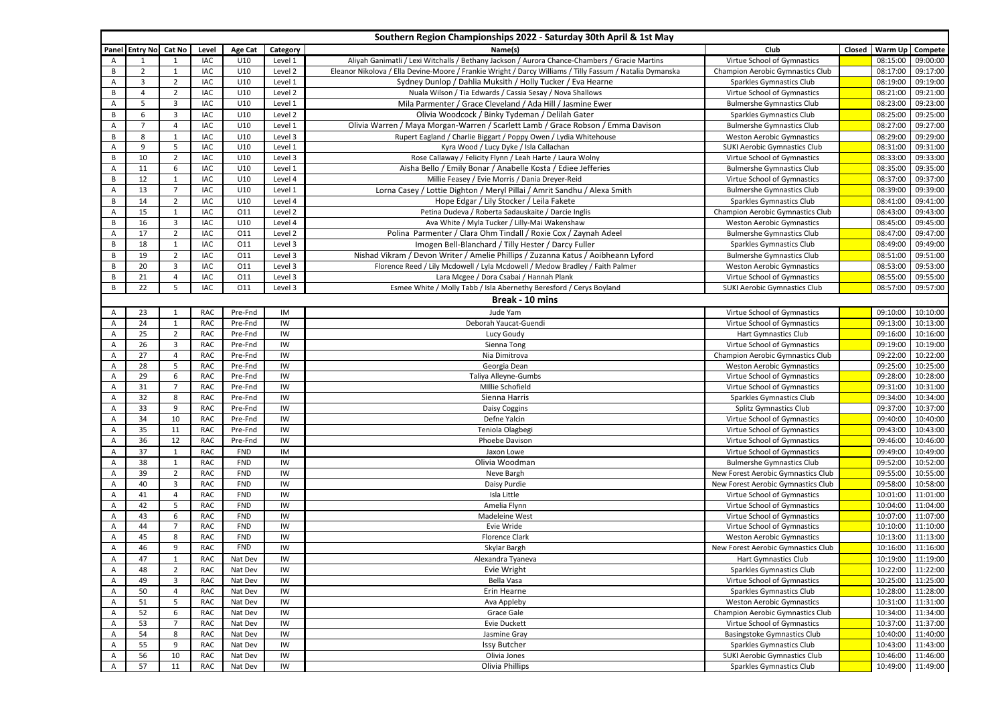| Southern Region Championships 2022 - Saturday 30th April & 1st May |                       |                |            |                |          |                                                                                                          |                                     |        |          |                   |
|--------------------------------------------------------------------|-----------------------|----------------|------------|----------------|----------|----------------------------------------------------------------------------------------------------------|-------------------------------------|--------|----------|-------------------|
|                                                                    | Panel Entry No Cat No |                | Level      | <b>Age Cat</b> | Category | Name(s)                                                                                                  | Club                                | Closed | Warm Up  | Compete           |
| Α                                                                  |                       |                | IAC        | U10            | Level 1  | Aliyah Ganimatli / Lexi Witchalls / Bethany Jackson / Aurora Chance-Chambers / Gracie Martins            | Virtue School of Gymnastics         |        | 08:15:00 | 09:00:00          |
| B                                                                  | $\overline{2}$        | $\mathbf{1}$   | IAC        | U10            | Level 2  | Eleanor Nikolova / Ella Devine-Moore / Frankie Wright / Darcy Williams / Tilly Fassum / Natalia Dymanska | Champion Aerobic Gymnastics Club    |        | 08:17:00 | 09:17:00          |
| Α                                                                  | $\mathbf{3}$          | $\overline{2}$ | IAC        | U10            | Level 1  | Sydney Dunlop / Dahlia Muksith / Holly Tucker / Eva Hearne                                               | Sparkles Gymnastics Club            |        | 08:19:00 | 09:19:00          |
| B                                                                  | $\overline{4}$        | $\overline{2}$ | IAC        | U10            | Level 2  | Nuala Wilson / Tia Edwards / Cassia Sesay / Nova Shallows                                                | Virtue School of Gymnastics         |        | 08:21:00 | 09:21:00          |
| Α                                                                  | 5                     | 3              | IAC        | U10            | Level 1  | Mila Parmenter / Grace Cleveland / Ada Hill / Jasmine Ewer                                               | <b>Bulmershe Gymnastics Club</b>    |        | 08:23:00 | 09:23:00          |
| В                                                                  | 6                     | 3              | <b>IAC</b> | U10            | Level 2  | Olivia Woodcock / Binky Tydeman / Delilah Gater                                                          | Sparkles Gymnastics Club            |        | 08:25:00 | 09:25:00          |
| $\overline{A}$                                                     | $\overline{7}$        | 4              | <b>IAC</b> | U10            | Level 1  | Olivia Warren / Maya Morgan-Warren / Scarlett Lamb / Grace Robson / Emma Davison                         | <b>Bulmershe Gymnastics Club</b>    |        | 08:27:00 | 09:27:00          |
| B                                                                  | 8                     | $\mathbf{1}$   | <b>IAC</b> | U10            | Level 3  | Rupert Eagland / Charlie Biggart / Poppy Owen / Lydia Whitehouse                                         | <b>Weston Aerobic Gymnastics</b>    |        | 08:29:00 | 09:29:00          |
| $\overline{A}$                                                     | 9                     | 5              | <b>IAC</b> | U10            | Level 1  | Kyra Wood / Lucy Dyke / Isla Callachan                                                                   | <b>SUKI Aerobic Gymnastics Club</b> |        | 08:31:00 | 09:31:00          |
| B                                                                  | 10                    | $\overline{2}$ | IAC        | U10            | Level 3  | Rose Callaway / Felicity Flynn / Leah Harte / Laura Wolny                                                | Virtue School of Gymnastics         |        | 08:33:00 | 09:33:00          |
| Α                                                                  | 11                    | 6              | <b>IAC</b> | U10            | Level 1  | Aisha Bello / Emily Bonar / Anabelle Kosta / Ediee Jefferies                                             | <b>Bulmershe Gymnastics Club</b>    |        | 08:35:00 | 09:35:00          |
| В                                                                  | 12                    | $\mathbf{1}$   | <b>IAC</b> | U10            | Level 4  | Millie Feasey / Evie Morris / Dania Dreyer-Reid                                                          | Virtue School of Gymnastics         |        | 08:37:00 | 09:37:00          |
| Α                                                                  | 13                    | $\overline{7}$ | <b>IAC</b> | U10            | Level 1  | Lorna Casey / Lottie Dighton / Meryl Pillai / Amrit Sandhu / Alexa Smith                                 | <b>Bulmershe Gymnastics Club</b>    |        | 08:39:00 | 09:39:00          |
| В                                                                  | 14                    | $\overline{2}$ | IAC        | U10            | Level 4  | Hope Edgar / Lily Stocker / Leila Fakete                                                                 | Sparkles Gymnastics Club            |        | 08:41:00 | 09:41:00          |
| $\overline{A}$                                                     | 15                    | $\mathbf{1}$   | <b>IAC</b> | 011            | Level 2  | Petina Dudeva / Roberta Sadauskaite / Darcie Inglis                                                      | Champion Aerobic Gymnastics Club    |        | 08:43:00 | 09:43:00          |
| В                                                                  | 16                    | 3              | IAC        | U10            | Level 4  | Ava White / Myla Tucker / Lilly-Mai Wakenshaw                                                            | <b>Weston Aerobic Gymnastics</b>    |        | 08:45:00 | 09:45:00          |
| Α                                                                  | 17                    | $\overline{2}$ | <b>IAC</b> | 011            | Level 2  | Polina Parmenter / Clara Ohm Tindall / Roxie Cox / Zaynah Adeel                                          | <b>Bulmershe Gymnastics Club</b>    |        | 08:47:00 | 09:47:00          |
| В                                                                  | 18                    | $\mathbf{1}$   | IAC        | 011            | Level 3  | Imogen Bell-Blanchard / Tilly Hester / Darcy Fuller                                                      | Sparkles Gymnastics Club            |        | 08:49:00 | 09:49:00          |
| B                                                                  | 19                    | $\overline{2}$ | IAC        | 011            | Level 3  | Nishad Vikram / Devon Writer / Amelie Phillips / Zuzanna Katus / Aoibheann Lyford                        | <b>Bulmershe Gymnastics Club</b>    |        | 08:51:00 | 09:51:00          |
| В                                                                  | 20                    | 3              | IAC        | 011            | Level 3  | Florence Reed / Lily Mcdowell / Lyla Mcdowell / Medow Bradley / Faith Palmer                             | <b>Weston Aerobic Gymnastics</b>    |        | 08:53:00 | 09:53:00          |
| В                                                                  | 21                    | $\overline{4}$ | IAC        | 011            | Level 3  | Lara Mcgee / Dora Csabai / Hannah Plank                                                                  | Virtue School of Gymnastics         |        | 08:55:00 | 09:55:00          |
| B                                                                  | 22                    | 5              | IAC        | 011            | Level 3  | Esmee White / Molly Tabb / Isla Abernethy Beresford / Cerys Boyland                                      | <b>SUKI Aerobic Gymnastics Club</b> |        | 08:57:00 | 09:57:00          |
|                                                                    |                       |                |            |                |          | Break - 10 mins                                                                                          |                                     |        |          |                   |
| Α                                                                  | 23                    | 1              | <b>RAC</b> | Pre-Fnd        | IM       | Jude Yam                                                                                                 | Virtue School of Gymnastics         |        | 09:10:00 | 10:10:00          |
| A                                                                  | 24                    | $\mathbf{1}$   | RAC        | Pre-Fnd        | IW       | Deborah Yaucat-Guendi                                                                                    | Virtue School of Gymnastics         |        | 09:13:00 | 10:13:00          |
| Α                                                                  | 25                    | $\overline{2}$ | <b>RAC</b> | Pre-Fnd        | IW       | Lucy Goudy                                                                                               | Hart Gymnastics Club                |        | 09:16:00 | 10:16:00          |
| Α                                                                  | 26                    | 3              | RAC        | Pre-Fnd        | IW       | Sienna Tong                                                                                              | Virtue School of Gymnastics         |        | 09:19:00 | 10:19:00          |
| A                                                                  | 27                    | 4              | RAC        | Pre-Fnd        | IW       | Nia Dimitrova                                                                                            | Champion Aerobic Gymnastics Club    |        | 09:22:00 | 10:22:00          |
| Α                                                                  | 28                    | 5              | RAC        | Pre-Fnd        | IW       | Georgia Dean                                                                                             | <b>Weston Aerobic Gymnastics</b>    |        | 09:25:00 | 10:25:00          |
| Α                                                                  | 29                    | 6              | RAC        | Pre-Fnd        | IW       | Taliya Alleyne-Gumbs                                                                                     | Virtue School of Gymnastics         |        | 09:28:00 | 10:28:00          |
| Α                                                                  | 31                    | $\overline{7}$ | RAC        | Pre-Fnd        | IW       | Millie Schofield                                                                                         | Virtue School of Gymnastics         |        | 09:31:00 | 10:31:00          |
| A                                                                  | 32                    | 8              | RAC        | Pre-Fnd        | IW       | Sienna Harris                                                                                            | Sparkles Gymnastics Club            |        | 09:34:00 | 10:34:00          |
| Α                                                                  | 33                    | 9              | <b>RAC</b> | Pre-Fnd        | IW       | Daisy Coggins                                                                                            | Splitz Gymnastics Club              |        | 09:37:00 | 10:37:00          |
| $\overline{A}$                                                     | 34                    | 10             | RAC        | Pre-Fnd        | IW       | Defne Yalcin                                                                                             | Virtue School of Gymnastics         |        | 09:40:00 | 10:40:00          |
| Α                                                                  | 35                    | 11             | RAC        | Pre-Fnd        | IW       | Teniola Olagbegi                                                                                         | Virtue School of Gymnastics         |        | 09:43:00 | 10:43:00          |
| A                                                                  | 36                    | 12             | RAC        | Pre-Fnd        | IW       | Phoebe Davison                                                                                           | Virtue School of Gymnastics         |        | 09:46:00 | 10:46:00          |
| Α                                                                  | 37                    | 1              | RAC        | <b>FND</b>     | IM       | Jaxon Lowe                                                                                               | Virtue School of Gymnastics         |        | 09:49:00 | 10:49:00          |
| Α                                                                  | 38                    | $\mathbf{1}$   | RAC        | <b>FND</b>     | IW       | Olivia Woodman                                                                                           | <b>Bulmershe Gymnastics Club</b>    |        | 09:52:00 | 10:52:00          |
| Α                                                                  | 39                    | $\overline{2}$ | RAC        | <b>FND</b>     | IW       | Neve Bargh                                                                                               | New Forest Aerobic Gymnastics Club  |        | 09:55:00 | 10:55:00          |
| Α                                                                  | 40                    | 3              | RAC        | <b>FND</b>     | IW       | Daisy Purdie                                                                                             | New Forest Aerobic Gymnastics Club  |        | 09:58:00 | 10:58:00          |
| Α                                                                  | 41                    | 4              | RAC        | <b>FND</b>     | IW       | Isla Little                                                                                              | Virtue School of Gymnastics         |        | 10:01:00 | 11:01:00          |
| Α                                                                  | 42                    | 5              | RAC        | <b>FND</b>     | IW       | Amelia Flynn                                                                                             | Virtue School of Gymnastics         |        | 10:04:00 | 11:04:00          |
| Α                                                                  | 43                    | 6              | RAC        | <b>FND</b>     | IW       | Madeleine West                                                                                           | Virtue School of Gymnastics         |        | 10:07:00 | 11:07:00          |
| $\overline{A}$                                                     | 44                    | $\overline{7}$ | RAC        | <b>FND</b>     | IW       | Evie Wride                                                                                               | Virtue School of Gymnastics         |        | 10:10:00 | 11:10:00          |
| A                                                                  | 45                    | 8              | RAC        | <b>FND</b>     | IW       | <b>Florence Clark</b>                                                                                    | <b>Weston Aerobic Gymnastics</b>    |        | 10:13:00 | 11:13:00          |
| A                                                                  | 46                    | 9              | RAC        | <b>FND</b>     | IW       | Skylar Bargh                                                                                             | New Forest Aerobic Gymnastics Club  |        | 10:16:00 | 11:16:00          |
| Α                                                                  | 47                    | 1              | RAC        | Nat Dev        | IW       | Alexandra Tyaneva                                                                                        | <b>Hart Gymnastics Club</b>         |        |          | 10:19:00 11:19:00 |
| A                                                                  | 48                    | $\overline{2}$ | RAC        | Nat Dev        | IW       | Evie Wright                                                                                              | Sparkles Gymnastics Club            |        |          | 10:22:00 11:22:00 |
| Α                                                                  | 49                    | 3              | <b>RAC</b> | Nat Dev        | IW       | Bella Vasa                                                                                               | Virtue School of Gymnastics         |        |          | 10:25:00 11:25:00 |
| Α                                                                  | 50                    | 4              | <b>RAC</b> | Nat Dev        | IW       | Erin Hearne                                                                                              | Sparkles Gymnastics Club            |        | 10:28:00 | 11:28:00          |
| Α                                                                  | 51                    | 5              | RAC        | Nat Dev        | IW       | Ava Appleby                                                                                              | <b>Weston Aerobic Gymnastics</b>    |        | 10:31:00 | 11:31:00          |
| Α                                                                  | 52                    | 6              | RAC        | Nat Dev        | IW       | Grace Gale                                                                                               | Champion Aerobic Gymnastics Club    |        | 10:34:00 | 11:34:00          |
| Α                                                                  | 53                    | $\overline{7}$ | <b>RAC</b> | Nat Dev        | IW       | Evie Duckett                                                                                             | Virtue School of Gymnastics         |        | 10:37:00 | 11:37:00          |
| Α                                                                  | 54                    | 8              | RAC        | Nat Dev        | IW       | Jasmine Gray                                                                                             | <b>Basingstoke Gymnastics Club</b>  |        | 10:40:00 | 11:40:00          |
| Α                                                                  | 55                    | 9              | <b>RAC</b> | Nat Dev        | IW       | <b>Issy Butcher</b>                                                                                      | Sparkles Gymnastics Club            |        | 10:43:00 | 11:43:00          |
| Α                                                                  | 56                    | 10             | RAC        | Nat Dev        | IW       | Olivia Jones                                                                                             | SUKI Aerobic Gymnastics Club        |        | 10:46:00 | 11:46:00          |
| Α                                                                  | 57                    | 11             | RAC        | Nat Dev        | IW       | Olivia Phillips                                                                                          | Sparkles Gymnastics Club            |        | 10:49:00 | 11:49:00          |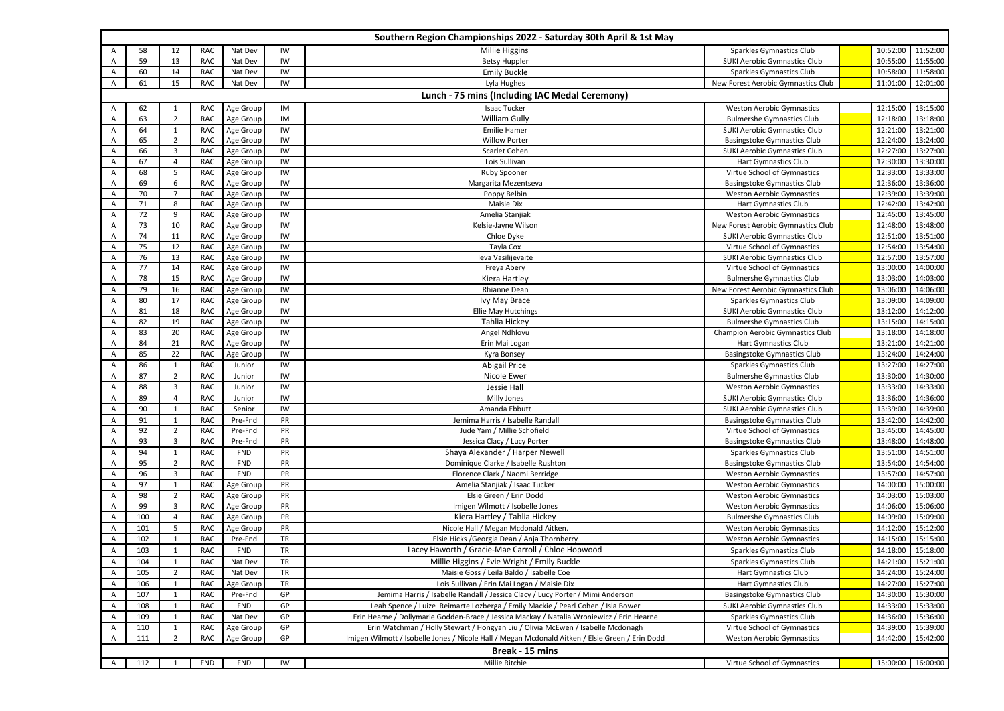| Southern Region Championships 2022 - Saturday 30th April & 1st May |                                                |                |            |            |           |                                                                                                 |                                     |  |                   |                    |
|--------------------------------------------------------------------|------------------------------------------------|----------------|------------|------------|-----------|-------------------------------------------------------------------------------------------------|-------------------------------------|--|-------------------|--------------------|
| A                                                                  | 58                                             | 12             | <b>RAC</b> | Nat Dev    | IW        | <b>Millie Higgins</b>                                                                           | Sparkles Gymnastics Club            |  | 10:52:00          | 11:52:00           |
| Α                                                                  | 59                                             | 13             | <b>RAC</b> | Nat Dev    | IW        | <b>Betsy Huppler</b>                                                                            | <b>SUKI Aerobic Gymnastics Club</b> |  | 10:55:00          | 11:55:00           |
| Α                                                                  | 60                                             | 14             | RAC        | Nat Dev    | IW        | <b>Emily Buckle</b>                                                                             | Sparkles Gymnastics Club            |  | 10:58:00          | 11:58:00           |
| Α                                                                  | 61                                             | 15             | <b>RAC</b> | Nat Dev    | IW        | Lyla Hughes                                                                                     | New Forest Aerobic Gymnastics Club  |  | 11:01:00          | 12:01:00           |
|                                                                    | Lunch - 75 mins (Including IAC Medal Ceremony) |                |            |            |           |                                                                                                 |                                     |  |                   |                    |
| A                                                                  | 62                                             | 1              | RAC        | Age Group  | IM        | Isaac Tucker                                                                                    | <b>Weston Aerobic Gymnastics</b>    |  | 12:15:00          | 13:15:00           |
| A                                                                  | 63                                             | $\overline{2}$ | RAC        | Age Group  | IM        | William Gully                                                                                   | <b>Bulmershe Gymnastics Club</b>    |  | 12:18:00          | 13:18:00           |
| $\overline{A}$                                                     | 64                                             | $\mathbf{1}$   | <b>RAC</b> | Age Group  | IW        | <b>Emilie Hamer</b>                                                                             | <b>SUKI Aerobic Gymnastics Club</b> |  | 12:21:00          | 13:21:00           |
| Α                                                                  | 65                                             | $\overline{2}$ | <b>RAC</b> | Age Group  | IW        | <b>Willow Porter</b>                                                                            | <b>Basingstoke Gymnastics Club</b>  |  | 12:24:00          | 13:24:00           |
| $\overline{A}$                                                     | 66                                             | 3              | RAC        | Age Group  | IW        | Scarlet Cohen                                                                                   | SUKI Aerobic Gymnastics Club        |  | 12:27:00          | 13:27:00           |
| Α                                                                  | 67                                             | 4              | <b>RAC</b> | Age Group  | IW        | Lois Sullivan                                                                                   | Hart Gymnastics Club                |  | 12:30:00          | 13:30:00           |
| Α                                                                  | 68                                             | 5              | <b>RAC</b> | Age Group  | IW        | Ruby Spooner                                                                                    | Virtue School of Gymnastics         |  | 12:33:00          | 13:33:00           |
| A                                                                  | 69                                             | 6              | <b>RAC</b> | Age Group  | IW        | Margarita Mezentseva                                                                            | <b>Basingstoke Gymnastics Club</b>  |  | 12:36:00          | 13:36:00           |
| Α                                                                  | 70                                             | $\overline{7}$ | RAC        | Age Group  | IW        | Poppy Belbin                                                                                    | <b>Weston Aerobic Gymnastics</b>    |  | 12:39:00          | 13:39:00           |
| A                                                                  | 71                                             | 8              | <b>RAC</b> | Age Group  | IW        | Maisie Dix                                                                                      | Hart Gymnastics Club                |  | 12:42:00          | 13:42:00           |
| A                                                                  | 72                                             | 9              | <b>RAC</b> | Age Group  | IW        | Amelia Stanjiak                                                                                 | <b>Weston Aerobic Gymnastics</b>    |  | 12:45:00          | 13:45:00           |
| A                                                                  | 73                                             | 10             | <b>RAC</b> | Age Group  | IW        | Kelsie-Jayne Wilson                                                                             | New Forest Aerobic Gymnastics Club  |  | 12:48:00          | 13:48:00           |
| Α                                                                  | 74                                             | 11             | RAC        | Age Group  | IW        | Chloe Dyke                                                                                      | SUKI Aerobic Gymnastics Club        |  | 12:51:00          | 13:51:00           |
| Α                                                                  | 75                                             | 12             | <b>RAC</b> | Age Group  | IW        | Tayla Cox                                                                                       | Virtue School of Gymnastics         |  | 12:54:00          | 13:54:00           |
| A                                                                  | 76                                             | 13             | <b>RAC</b> | Age Group  | IW        | Ieva Vasilijevaite                                                                              | SUKI Aerobic Gymnastics Club        |  | 12:57:00          | 13:57:00           |
| Α                                                                  | 77                                             | 14             | <b>RAC</b> | Age Group  | IW        | Freya Abery                                                                                     | Virtue School of Gymnastics         |  | 13:00:00          | 14:00:00           |
| $\overline{A}$                                                     | 78                                             | 15             | <b>RAC</b> | Age Group  | IW        | Kiera Hartley                                                                                   | <b>Bulmershe Gymnastics Club</b>    |  | 13:03:00          | 14:03:00           |
| Α                                                                  | 79                                             | 16             | RAC        | Age Group  | IW        | Rhianne Dean                                                                                    | New Forest Aerobic Gymnastics Club  |  | 13:06:00          | 14:06:00           |
| A                                                                  | 80                                             | 17             | <b>RAC</b> | Age Group  | IW        | Ivy May Brace                                                                                   | Sparkles Gymnastics Club            |  | 13:09:00          | 14:09:00           |
| A                                                                  | 81                                             | 18             | RAC        | Age Group  | IW        | Ellie May Hutchings                                                                             | SUKI Aerobic Gymnastics Club        |  | 13:12:00          | 14:12:00           |
| A                                                                  | 82                                             | 19             | <b>RAC</b> | Age Group  | IW        | Tahlia Hickey                                                                                   | <b>Bulmershe Gymnastics Club</b>    |  | 13:15:00          | 14:15:00           |
| A                                                                  | 83                                             | 20             | <b>RAC</b> | Age Group  | IW        | Angel Ndhlovu                                                                                   | Champion Aerobic Gymnastics Club    |  | 13:18:00          | 14:18:00           |
| A                                                                  | 84                                             | 21             | <b>RAC</b> | Age Group  | IW        | Erin Mai Logan                                                                                  | Hart Gymnastics Club                |  | 13:21:00          | 14:21:00           |
| A                                                                  | 85                                             | 22             | <b>RAC</b> | Age Group  | IW        | Kyra Bonsey                                                                                     | <b>Basingstoke Gymnastics Club</b>  |  | 13:24:00          | 14:24:00           |
| A                                                                  | 86                                             | 1              | RAC        | Junior     | IW        | <b>Abigail Price</b>                                                                            | Sparkles Gymnastics Club            |  | 13:27:00          | 14:27:00           |
| A                                                                  | 87                                             | 2              | <b>RAC</b> | Junior     | IW        | Nicole Ewer                                                                                     | <b>Bulmershe Gymnastics Club</b>    |  | 13:30:00          | 14:30:00           |
| A                                                                  | 88                                             | 3              | <b>RAC</b> | Junior     | IW        | Jessie Hall                                                                                     | <b>Weston Aerobic Gymnastics</b>    |  | 13:33:00          | 14:33:00           |
| Α                                                                  | 89                                             | 4              | RAC        | Junior     | IW        | Milly Jones                                                                                     | <b>SUKI Aerobic Gymnastics Club</b> |  | 13:36:00          | 14:36:00           |
| Α                                                                  | 90                                             | $\mathbf{1}$   | <b>RAC</b> | Senior     | IW        | Amanda Ebbutt                                                                                   | SUKI Aerobic Gymnastics Club        |  | 13:39:00          | 14:39:00           |
| Α                                                                  | 91                                             | $\mathbf{1}$   | <b>RAC</b> | Pre-Fnd    | PR        | Jemima Harris / Isabelle Randall                                                                | <b>Basingstoke Gymnastics Club</b>  |  | 13:42:00          | 14:42:00           |
| Α                                                                  | 92                                             | $\overline{2}$ | <b>RAC</b> | Pre-Fnd    | PR        | Jude Yam / Millie Schofield                                                                     | Virtue School of Gymnastics         |  | 13:45:00          | 14:45:00           |
| Α                                                                  | 93                                             | 3              | <b>RAC</b> | Pre-Fnd    | PR        | Jessica Clacy / Lucy Porter                                                                     | Basingstoke Gymnastics Club         |  | 13:48:00          | 14:48:00           |
| Α                                                                  | 94                                             | $\mathbf{1}$   | <b>RAC</b> | <b>FND</b> | PR        | Shaya Alexander / Harper Newell                                                                 | Sparkles Gymnastics Club            |  | 13:51:00          | 14:51:00           |
| Α                                                                  | 95                                             | $\overline{2}$ | RAC        | <b>FND</b> | PR        | Dominique Clarke / Isabelle Rushton                                                             | <b>Basingstoke Gymnastics Club</b>  |  | 13:54:00          | 14:54:00           |
| $\overline{A}$                                                     | 96                                             | 3              | RAC        | <b>FND</b> | PR        | Florence Clark / Naomi Berridge                                                                 | <b>Weston Aerobic Gymnastics</b>    |  | 13:57:00          | 14:57:00           |
| A                                                                  | 97                                             | 1              | RAC        | Age Group  | PR        | Amelia Stanjiak / Isaac Tucker                                                                  | <b>Weston Aerobic Gymnastics</b>    |  | 14:00:00          | 15:00:00           |
| Α                                                                  | 98                                             | $\overline{2}$ | <b>RAC</b> | Age Group  | PR        | Elsie Green / Erin Dodd                                                                         | <b>Weston Aerobic Gymnastics</b>    |  | 14:03:00          | 15:03:00           |
| Α                                                                  | 99                                             | 3              | <b>RAC</b> | Age Group  | PR        | Imigen Wilmott / Isobelle Jones                                                                 | <b>Weston Aerobic Gymnastics</b>    |  | 14:06:00          | 15:06:00           |
| $\overline{A}$                                                     | 100                                            | $\overline{4}$ | <b>RAC</b> | Age Group  | PR        | Kiera Hartley / Tahlia Hickey                                                                   | <b>Bulmershe Gymnastics Club</b>    |  | 14:09:00          | 15:09:00           |
| $\overline{A}$                                                     | 101                                            | 5              | <b>RAC</b> | Age Group  | PR        | Nicole Hall / Megan Mcdonald Aitken.                                                            | <b>Weston Aerobic Gymnastics</b>    |  | 14:12:00          | 15:12:00           |
| A                                                                  | 102                                            | 1              | <b>RAC</b> | Pre-Fnd    | TR        | Elsie Hicks / Georgia Dean / Anja Thornberry                                                    | <b>Weston Aerobic Gymnastics</b>    |  | 14:15:00          | 15:15:00           |
| A                                                                  | 103                                            | $\mathbf{1}$   | <b>RAC</b> | <b>FND</b> | TR        | Lacey Haworth / Gracie-Mae Carroll / Chloe Hopwood                                              | Sparkles Gymnastics Club            |  | 14:18:00          | 15:18:00           |
| A                                                                  | 104                                            | $\mathbf{1}$   | RAC        | Nat Dev    | <b>TR</b> | Millie Higgins / Evie Wright / Emily Buckle                                                     | Sparkles Gymnastics Club            |  |                   | 14:21:00  15:21:00 |
| $\mathsf{A}$                                                       | 105                                            | $\overline{2}$ | RAC        | Nat Dev    | TR        | Maisie Goss / Leila Baldo / Isabelle Coe                                                        | <b>Hart Gymnastics Club</b>         |  |                   | 14:24:00 15:24:00  |
| $\overline{A}$                                                     | 106                                            | 1              | RAC        | Age Group  | <b>TR</b> | Lois Sullivan / Erin Mai Logan / Maisie Dix                                                     | <b>Hart Gymnastics Club</b>         |  |                   | 14:27:00  15:27:00 |
| A                                                                  | 107                                            | 1              | RAC        | Pre-Fnd    | GP        | Jemima Harris / Isabelle Randall / Jessica Clacy / Lucy Porter / Mimi Anderson                  | <b>Basingstoke Gymnastics Club</b>  |  |                   | 14:30:00 15:30:00  |
| $\overline{A}$                                                     | 108                                            | 1              | RAC        | <b>FND</b> | GP        | Leah Spence / Luize Reimarte Lozberga / Emily Mackie / Pearl Cohen / Isla Bower                 | <b>SUKI Aerobic Gymnastics Club</b> |  |                   | 14:33:00 15:33:00  |
| A                                                                  | 109                                            | 1              | RAC        | Nat Dev    | GP        | Erin Hearne / Dollymarie Godden-Brace / Jessica Mackay / Natalia Wroniewicz / Erin Hearne       | Sparkles Gymnastics Club            |  | 14:36:00 15:36:00 |                    |
| Α                                                                  | 110                                            | $\mathbf{1}$   | RAC        | Age Group  | GP        | Erin Watchman / Holly Stewart / Hongyan Liu / Olivia McEwen / Isabelle Mcdonagh                 | Virtue School of Gymnastics         |  |                   | 14:39:00 15:39:00  |
| Α                                                                  | 111                                            | $\overline{2}$ | <b>RAC</b> | Age Group  | GP        | Imigen Wilmott / Isobelle Jones / Nicole Hall / Megan Mcdonald Aitken / Elsie Green / Erin Dodd | <b>Weston Aerobic Gymnastics</b>    |  |                   | 14:42:00  15:42:00 |
|                                                                    |                                                |                |            |            |           | Break - 15 mins                                                                                 |                                     |  |                   |                    |
| $\mathsf{A}$                                                       | 112                                            | 1              | <b>FND</b> | <b>FND</b> | IW        | Millie Ritchie                                                                                  | Virtue School of Gymnastics         |  |                   | 15:00:00  16:00:00 |